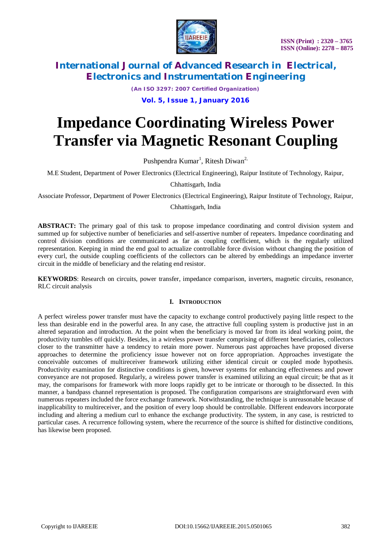

*(An ISO 3297: 2007 Certified Organization)*

### **Vol. 5, Issue 1, January 2016**

# **Impedance Coordinating Wireless Power Transfer via Magnetic Resonant Coupling**

Pushpendra Kumar<sup>1</sup>, Ritesh Diwan<sup>2,</sup>

M.E Student, Department of Power Electronics (Electrical Engineering), Raipur Institute of Technology, Raipur,

Chhattisgarh, India

Associate Professor, Department of Power Electronics (Electrical Engineering), Raipur Institute of Technology, Raipur,

### Chhattisgarh, India

**ABSTRACT:** The primary goal of this task to propose impedance coordinating and control division system and summed up for subjective number of beneficiaries and self-assertive number of repeaters. Impedance coordinating and control division conditions are communicated as far as coupling coefficient, which is the regularly utilized representation. Keeping in mind the end goal to actualize controllable force division without changing the position of every curl, the outside coupling coefficients of the collectors can be altered by embeddings an impedance inverter circuit in the middle of beneficiary and the relating end resistor.

**KEYWORDS**: Research on circuits, power transfer, impedance comparison, inverters, magnetic circuits, resonance, RLC circuit analysis

### **I. INTRODUCTION**

A perfect wireless power transfer must have the capacity to exchange control productively paying little respect to the less than desirable end in the powerful area. In any case, the attractive full coupling system is productive just in an altered separation and introduction. At the point when the beneficiary is moved far from its ideal working point, the productivity tumbles off quickly. Besides, in a wireless power transfer comprising of different beneficiaries, collectors closer to the transmitter have a tendency to retain more power. Numerous past approaches have proposed diverse approaches to determine the proficiency issue however not on force appropriation. Approaches investigate the conceivable outcomes of multireceiver framework utilizing either identical circuit or coupled mode hypothesis. Productivity examination for distinctive conditions is given, however systems for enhancing effectiveness and power conveyance are not proposed. Regularly, a wireless power transfer is examined utilizing an equal circuit; be that as it may, the comparisons for framework with more loops rapidly get to be intricate or thorough to be dissected. In this manner, a bandpass channel representation is proposed. The configuration comparisons are straightforward even with numerous repeaters included the force exchange framework. Notwithstanding, the technique is unreasonable because of inapplicability to multireceiver, and the position of every loop should be controllable. Different endeavors incorporate including and altering a medium curl to enhance the exchange productivity. The system, in any case, is restricted to particular cases. A recurrence following system, where the recurrence of the source is shifted for distinctive conditions, has likewise been proposed.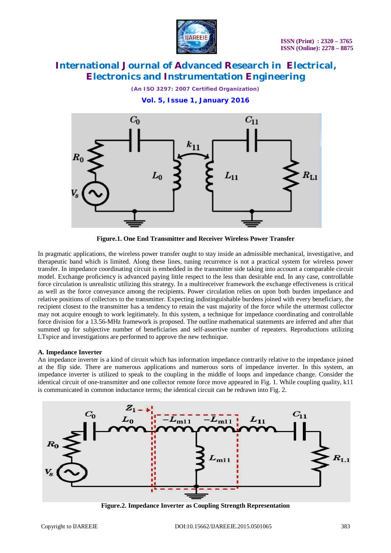

*(An ISO 3297: 2007 Certified Organization)*

**Vol. 5, Issue 1, January 2016**



**Figure.1. One End Transmitter and Receiver Wireless Power Transfer**

In pragmatic applications, the wireless power transfer ought to stay inside an admissible mechanical, investigative, and therapeutic band which is limited. Along these lines, tuning recurrence is not a practical system for wireless power transfer. In impedance coordinating circuit is embedded in the transmitter side taking into account a comparable circuit model. Exchange proficiency is advanced paying little respect to the less than desirable end. In any case, controllable force circulation is unrealistic utilizing this strategy. In a multireceiver framework the exchange effectiveness is critical as well as the force conveyance among the recipients. Power circulation relies on upon both burden impedance and relative positions of collectors to the transmitter. Expecting indistinguishable burdens joined with every beneficiary, the recipient closest to the transmitter has a tendency to retain the vast majority of the force while the uttermost collector may not acquire enough to work legitimately. In this system, a technique for impedance coordinating and controllable force division for a 13.56-MHz framework is proposed. The outline mathematical statements are inferred and after that summed up for subjective number of beneficiaries and self-assertive number of repeaters. Reproductions utilizing LTspice and investigations are performed to approve the new technique.

### **A. Impedance Inverter**

An impedance inverter is a kind of circuit which has information impedance contrarily relative to the impedance joined at the flip side. There are numerous applications and numerous sorts of impedance inverter. In this system, an impedance inverter is utilized to speak to the coupling in the middle of loops and impedance change. Consider the identical circuit of one-transmitter and one collector remote force move appeared in Fig. 1. While coupling quality, k11 is communicated in common inductance terms; the identical circuit can be redrawn into Fig. 2.



**Figure.2. Impedance Inverter as Coupling Strength Representation**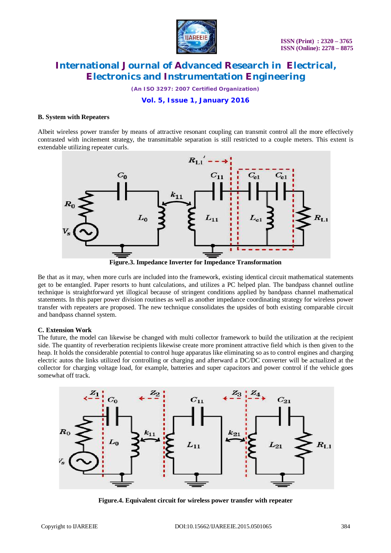

*(An ISO 3297: 2007 Certified Organization)*

### **Vol. 5, Issue 1, January 2016**

#### **B. System with Repeaters**

Albeit wireless power transfer by means of attractive resonant coupling can transmit control all the more effectively contrasted with incitement strategy, the transmittable separation is still restricted to a couple meters. This extent is extendable utilizing repeater curls.



**Figure.3. Impedance Inverter for Impedance Transformation**

Be that as it may, when more curls are included into the framework, existing identical circuit mathematical statements get to be entangled. Paper resorts to hunt calculations, and utilizes a PC helped plan. The bandpass channel outline technique is straightforward yet illogical because of stringent conditions applied by bandpass channel mathematical statements. In this paper power division routines as well as another impedance coordinating strategy for wireless power transfer with repeaters are proposed. The new technique consolidates the upsides of both existing comparable circuit and bandpass channel system.

### **C. Extension Work**

The future, the model can likewise be changed with multi collector framework to build the utilization at the recipient side. The quantity of reverberation recipients likewise create more prominent attractive field which is then given to the heap. It holds the considerable potential to control huge apparatus like eliminating so as to control engines and charging electric autos the links utilized for controlling or charging and afterward a DC/DC converter will be actualized at the collector for charging voltage load, for example, batteries and super capacitors and power control if the vehicle goes somewhat off track.



**Figure.4. Equivalent circuit for wireless power transfer with repeater**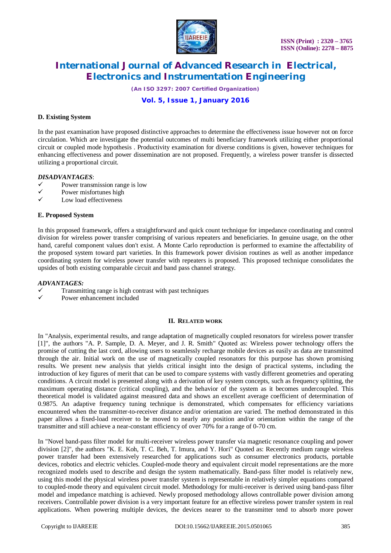

*(An ISO 3297: 2007 Certified Organization)*

### **Vol. 5, Issue 1, January 2016**

### **D. Existing System**

In the past examination have proposed distinctive approaches to determine the effectiveness issue however not on force circulation. Which are investigate the potential outcomes of multi beneficiary framework utilizing either proportional circuit or coupled mode hypothesis . Productivity examination for diverse conditions is given, however techniques for enhancing effectiveness and power dissemination are not proposed. Frequently, a wireless power transfer is dissected utilizing a proportional circuit.

### *DISADVANTAGES*:

- $\checkmark$  Power transmission range is low<br> $\checkmark$  Power misfortunes high
- $\checkmark$  Power misfortunes high
- Low load effectiveness

#### **E. Proposed System**

In this proposed framework, offers a straightforward and quick count technique for impedance coordinating and control division for wireless power transfer comprising of various repeaters and beneficiaries. In genuine usage, on the other hand, careful component values don't exist. A Monte Carlo reproduction is performed to examine the affectability of the proposed system toward part varieties. In this framework power division routines as well as another impedance coordinating system for wireless power transfer with repeaters is proposed. This proposed technique consolidates the upsides of both existing comparable circuit and band pass channel strategy.

### *ADVANTAGES:*

- Transmitting range is high contrast with past techniques
- Power enhancement included

#### **II. RELATED WORK**

In "Analysis, experimental results, and range adaptation of magnetically coupled resonators for wireless power transfer [1]", the authors "A. P. Sample, D. A. Meyer, and J. R. Smith" Quoted as: Wireless power technology offers the promise of cutting the last cord, allowing users to seamlessly recharge mobile devices as easily as data are transmitted through the air. Initial work on the use of magnetically coupled resonators for this purpose has shown promising results. We present new analysis that yields critical insight into the design of practical systems, including the introduction of key figures of merit that can be used to compare systems with vastly different geometries and operating conditions. A circuit model is presented along with a derivation of key system concepts, such as frequency splitting, the maximum operating distance (critical coupling), and the behavior of the system as it becomes undercoupled. This theoretical model is validated against measured data and shows an excellent average coefficient of determination of 0.9875. An adaptive frequency tuning technique is demonstrated, which compensates for efficiency variations encountered when the transmitter-to-receiver distance and/or orientation are varied. The method demonstrated in this paper allows a fixed-load receiver to be moved to nearly any position and/or orientation within the range of the transmitter and still achieve a near-constant efficiency of over 70% for a range of 0-70 cm.

In "Novel band-pass filter model for multi-receiver wireless power transfer via magnetic resonance coupling and power division [2]", the authors "K. E. Koh, T. C. Beh, T. Imura, and Y. Hori" Quoted as: Recently medium range wireless power transfer had been extensively researched for applications such as consumer electronics products, portable devices, robotics and electric vehicles. Coupled-mode theory and equivalent circuit model representations are the more recognized models used to describe and design the system mathematically. Band-pass filter model is relatively new, using this model the physical wireless power transfer system is representable in relatively simpler equations compared to coupled-mode theory and equivalent circuit model. Methodology for multi-receiver is derived using band-pass filter model and impedance matching is achieved. Newly proposed methodology allows controllable power division among receivers. Controllable power division is a very important feature for an effective wireless power transfer system in real applications. When powering multiple devices, the devices nearer to the transmitter tend to absorb more power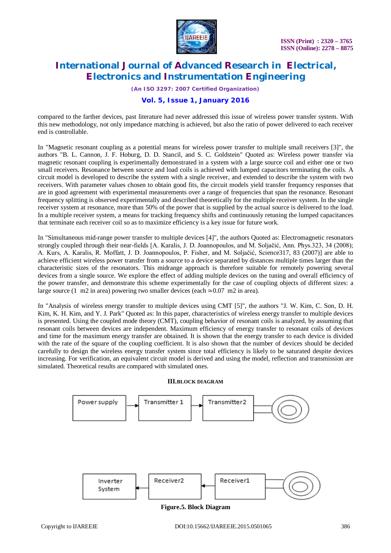

*(An ISO 3297: 2007 Certified Organization)*

### **Vol. 5, Issue 1, January 2016**

compared to the farther devices, past literature had never addressed this issue of wireless power transfer system. With this new methodology, not only impedance matching is achieved, but also the ratio of power delivered to each receiver end is controllable.

In "Magnetic resonant coupling as a potential means for wireless power transfer to multiple small receivers [3]", the authors "B. L. Cannon, J. F. Hoburg, D. D. Stancil, and S. C. Goldstein" Quoted as: Wireless power transfer via magnetic resonant coupling is experimentally demonstrated in a system with a large source coil and either one or two small receivers. Resonance between source and load coils is achieved with lumped capacitors terminating the coils. A circuit model is developed to describe the system with a single receiver, and extended to describe the system with two receivers. With parameter values chosen to obtain good fits, the circuit models yield transfer frequency responses that are in good agreement with experimental measurements over a range of frequencies that span the resonance. Resonant frequency splitting is observed experimentally and described theoretically for the multiple receiver system. In the single receiver system at resonance, more than 50% of the power that is supplied by the actual source is delivered to the load. In a multiple receiver system, a means for tracking frequency shifts and continuously retuning the lumped capacitances that terminate each receiver coil so as to maximize efficiency is a key issue for future work.

In "Simultaneous mid-range power transfer to multiple devices [4]", the authors Quoted as: Electromagnetic resonators strongly coupled through their near-fields [A. Karalis, J. D. Joannopoulos, and M. Soljačić, Ann. Phys.323, 34 (2008); A. Kurs, A. Karalis, R. Moffatt, J. D. Joannopoulos, P. Fisher, and M. Soljačić, Science317, 83 (2007)] are able to achieve efficient wireless power transfer from a source to a device separated by distances multiple times larger than the characteristic sizes of the resonators. This midrange approach is therefore suitable for remotely powering several devices from a single source. We explore the effect of adding multiple devices on the tuning and overall efficiency of the power transfer, and demonstrate this scheme experimentally for the case of coupling objects of different sizes: a large source (1 m2 in area) powering two smaller devices (each  $\simeq 0.07$  m2 in area).

In "Analysis of wireless energy transfer to multiple devices using CMT [5]", the authors "J. W. Kim, C. Son, D. H. Kim, K. H. Kim, and Y. J. Park" Quoted as: In this paper, characteristics of wireless energy transfer to multiple devices is presented. Using the coupled mode theory (CMT), coupling behavior of resonant coils is analyzed, by assuming that resonant coils between devices are independent. Maximum efficiency of energy transfer to resonant coils of devices and time for the maximum energy transfer are obtained. It is shown that the energy transfer to each device is divided with the rate of the square of the coupling coefficient. It is also shown that the number of devices should be decided carefully to design the wireless energy transfer system since total efficiency is likely to be saturated despite devices increasing. For verification, an equivalent circuit model is derived and using the model, reflection and transmission are simulated. Theoretical results are compared with simulated ones.

### **III.BLOCK DIAGRAM**



**Figure.5. Block Diagram**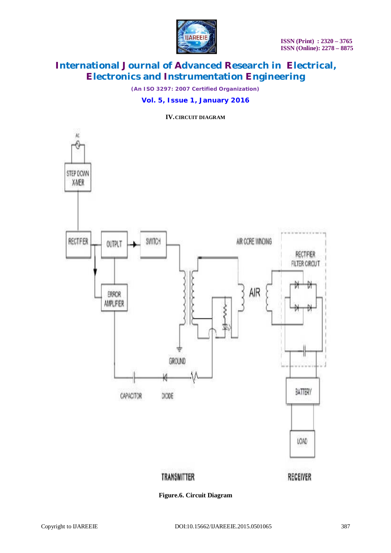

*(An ISO 3297: 2007 Certified Organization)*

### **Vol. 5, Issue 1, January 2016**

**IV.CIRCUIT DIAGRAM**



**Figure.6. Circuit Diagram**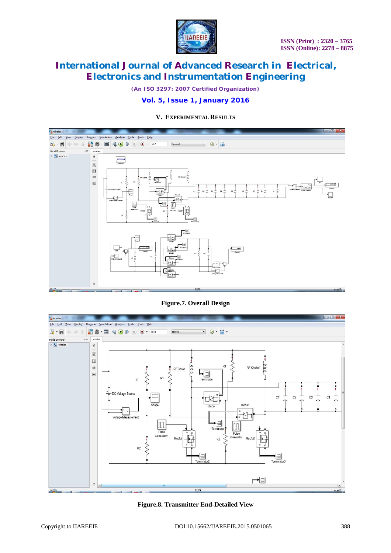

*(An ISO 3297: 2007 Certified Organization)*

### **Vol. 5, Issue 1, January 2016**

### **V. EXPERIMENTAL RESULTS**



### **Figure.7. Overall Design**



**Figure.8. Transmitter End-Detailed View**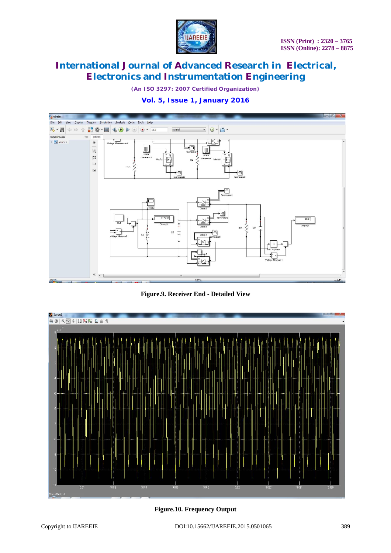

*(An ISO 3297: 2007 Certified Organization)*

## **Vol. 5, Issue 1, January 2016**



**Figure.9. Receiver End - Detailed View**



**Figure.10. Frequency Output**